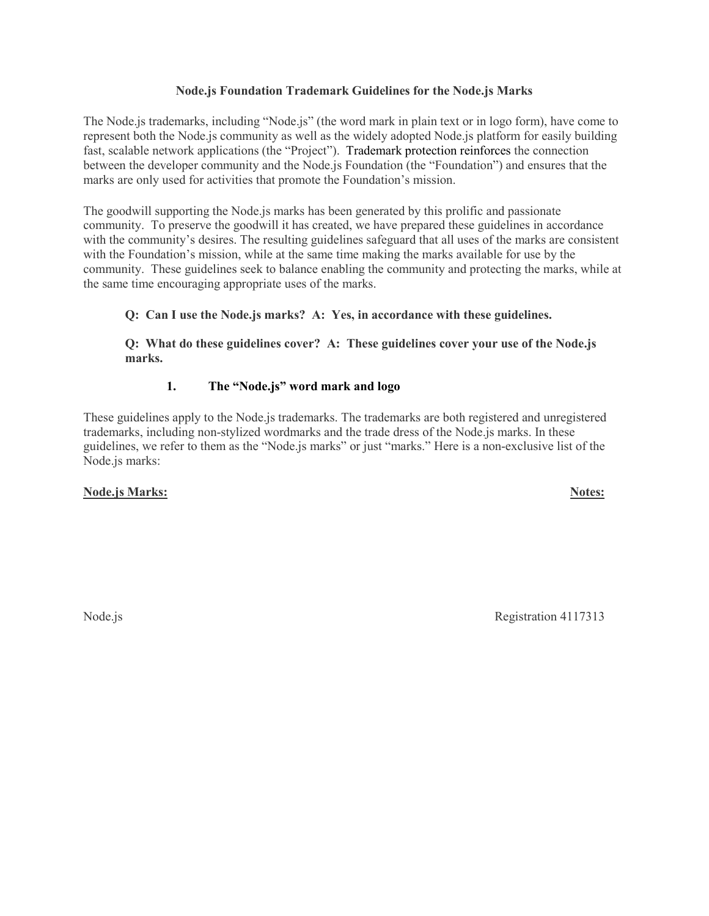### **Node.js Foundation Trademark Guidelines for the Node.js Marks**

The Node.js trademarks, including "Node.js" (the word mark in plain text or in logo form), have come to represent both the Node.js community as well as the widely adopted Node.js platform for easily building fast, scalable network applications (the "Project"). Trademark protection reinforces the connection between the developer community and the Node.js Foundation (the "Foundation") and ensures that the marks are only used for activities that promote the Foundation's mission.

The goodwill supporting the Node.js marks has been generated by this prolific and passionate community. To preserve the goodwill it has created, we have prepared these guidelines in accordance with the community's desires. The resulting guidelines safeguard that all uses of the marks are consistent with the Foundation's mission, while at the same time making the marks available for use by the community. These guidelines seek to balance enabling the community and protecting the marks, while at the same time encouraging appropriate uses of the marks.

**Q: Can I use the Node.js marks? A: Yes, in accordance with these guidelines.**

**Q: What do these guidelines cover? A: These guidelines cover your use of the Node.js marks.**

### **1. The "Node.js" word mark and logo**

These guidelines apply to the Node.js trademarks. The trademarks are both registered and unregistered trademarks, including non-stylized wordmarks and the trade dress of the Node.js marks. In these guidelines, we refer to them as the "Node.js marks" or just "marks." Here is a non-exclusive list of the Node.js marks:

# **Node.js Marks: Notes:**

Node.js Registration 4117313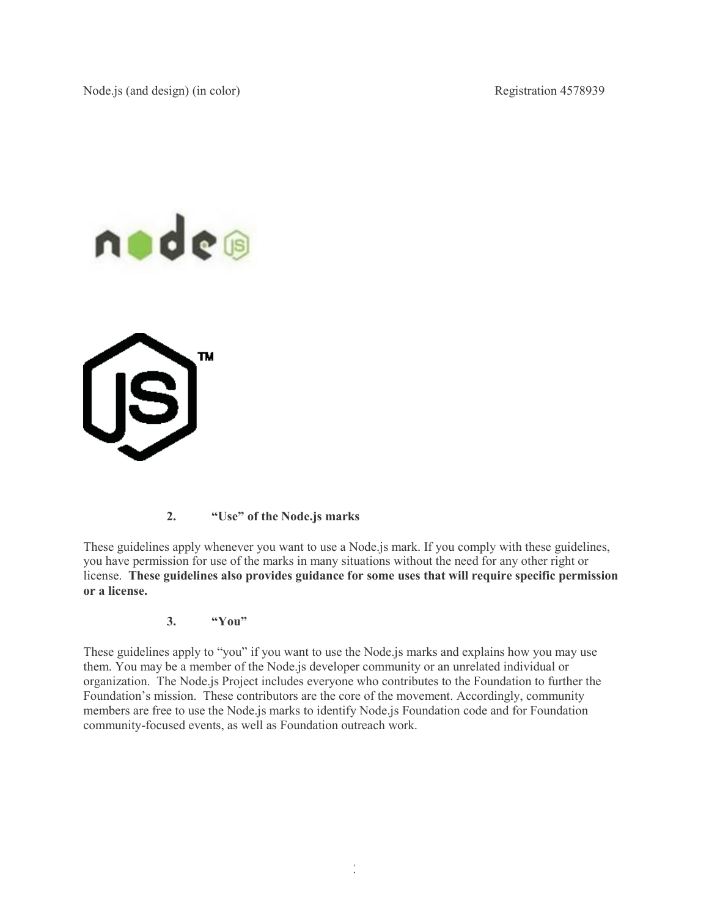



# **2. "Use" of the Node.js marks**

These guidelines apply whenever you want to use a Node.js mark. If you comply with these guidelines, you have permission for use of the marks in many situations without the need for any other right or license. **These guidelines also provides guidance for some uses that will require specific permission or a license.**

### **3. "You"**

These guidelines apply to "you" if you want to use the Node.js marks and explains how you may use them. You may be a member of the Node.js developer community or an unrelated individual or organization. The Node.js Project includes everyone who contributes to the Foundation to further the Foundation's mission. These contributors are the core of the movement. Accordingly, community members are free to use the Node.js marks to identify Node.js Foundation code and for Foundation community-focused events, as well as Foundation outreach work.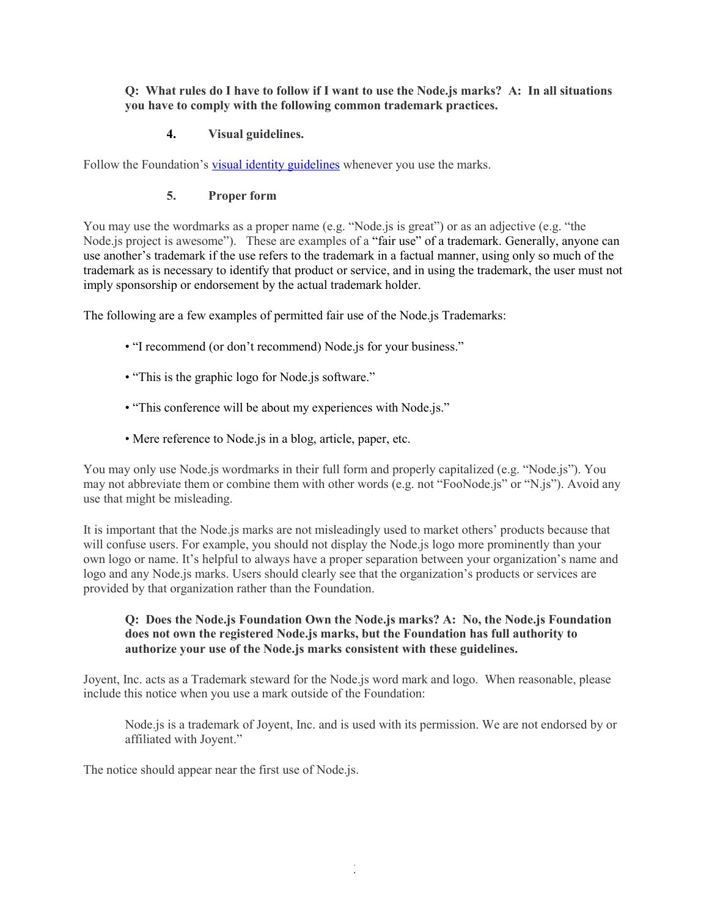### **Q: What rules do I have to follow if I want to use the Node.js marks? A: In all situations you have to comply with the following common trademark practices.**

## **4. Visual guidelines.**

Follow the Foundation's [visual identity guidelines](https://nodejs.org/static/documents/foundation-visual-guidelines.pdf) whenever you use the marks.

### **5. Proper form**

You may use the wordmarks as a proper name (e.g. "Node.js is great") or as an adjective (e.g. "the Node.js project is awesome"). These are examples of a "fair use" of a trademark. Generally, anyone can use another's trademark if the use refers to the trademark in a factual manner, using only so much of the trademark as is necessary to identify that product or service, and in using the trademark, the user must not imply sponsorship or endorsement by the actual trademark holder.

The following are a few examples of permitted fair use of the Node.js Trademarks:

- "I recommend (or don't recommend) Node.js for your business."
- "This is the graphic logo for Node.js software."
- "This conference will be about my experiences with Node.js."
- Mere reference to Node.js in a blog, article, paper, etc.

You may only use Node.js wordmarks in their full form and properly capitalized (e.g. "Node.js"). You may not abbreviate them or combine them with other words (e.g. not "FooNode.js" or "N.js"). Avoid any use that might be misleading.

It is important that the Node.js marks are not misleadingly used to market others' products because that will confuse users. For example, you should not display the Node.js logo more prominently than your own logo or name. It's helpful to always have a proper separation between your organization's name and logo and any Node.js marks. Users should clearly see that the organization's products or services are provided by that organization rather than the Foundation.

## **Q: Does the Node.js Foundation Own the Node.js marks? A: No, the Node.js Foundation does not own the registered Node.js marks, but the Foundation has full authority to authorize your use of the Node.js marks consistent with these guidelines.**

Joyent, Inc. acts as a Trademark steward for the Node.js word mark and logo. When reasonable, please include this notice when you use a mark outside of the Foundation:

Node.js is a trademark of Joyent, Inc. and is used with its permission. We are not endorsed by or affiliated with Joyent."

The notice should appear near the first use of Node.js.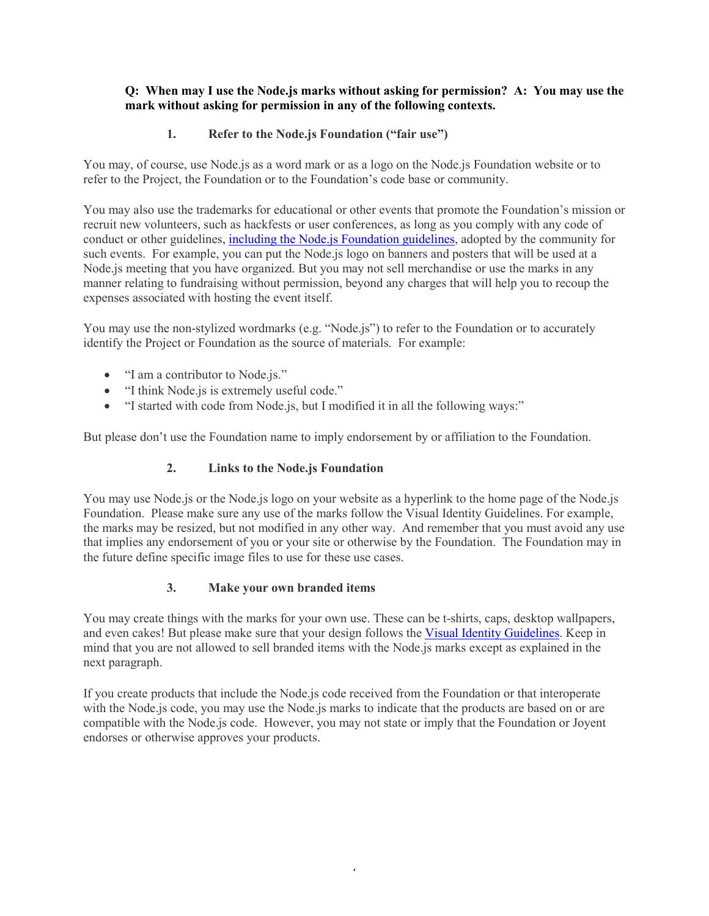### **Q: When may I use the Node.js marks without asking for permission? A: You may use the mark without asking for permission in any of the following contexts.**

# **1. Refer to the Node.js Foundation ("fair use")**

You may, of course, use Node.js as a word mark or as a logo on the Node.js Foundation website or to refer to the Project, the Foundation or to the Foundation's code base or community.

You may also use the trademarks for educational or other events that promote the Foundation's mission or recruit new volunteers, such as hackfests or user conferences, as long as you comply with any code of conduct or other guidelines, [including the Node.js Foundation guidelines,](https://nodejs.org/foundation/) adopted by the community for such events. For example, you can put the Node.js logo on banners and posters that will be used at a Node.js meeting that you have organized. But you may not sell merchandise or use the marks in any manner relating to fundraising without permission, beyond any charges that will help you to recoup the expenses associated with hosting the event itself.

You may use the non-stylized wordmarks (e.g. "Node.js") to refer to the Foundation or to accurately identify the Project or Foundation as the source of materials. For example:

- "I am a contributor to Node.js."
- "I think Node.js is extremely useful code."
- "I started with code from Node.js, but I modified it in all the following ways:"

But please don't use the Foundation name to imply endorsement by or affiliation to the Foundation.

# **2. Links to the Node.js Foundation**

You may use Node.js or the Node.js logo on your website as a hyperlink to the home page of the Node.js Foundation. Please make sure any use of the marks follow the Visual Identity Guidelines. For example, the marks may be resized, but not modified in any other way. And remember that you must avoid any use that implies any endorsement of you or your site or otherwise by the Foundation. The Foundation may in the future define specific image files to use for these use cases.

# **3. Make your own branded items**

You may create things with the marks for your own use. These can be t-shirts, caps, desktop wallpapers, and even cakes! But please make sure that your design follows the [Visual Identity Guidelines.](https://nodejs.org/static/documents/foundation-visual-guidelines.pdf) Keep in mind that you are not allowed to sell branded items with the Node.js marks except as explained in the next paragraph.

If you create products that include the Node.js code received from the Foundation or that interoperate with the Node.js code, you may use the Node.js marks to indicate that the products are based on or are compatible with the Node.js code. However, you may not state or imply that the Foundation or Joyent endorses or otherwise approves your products.

4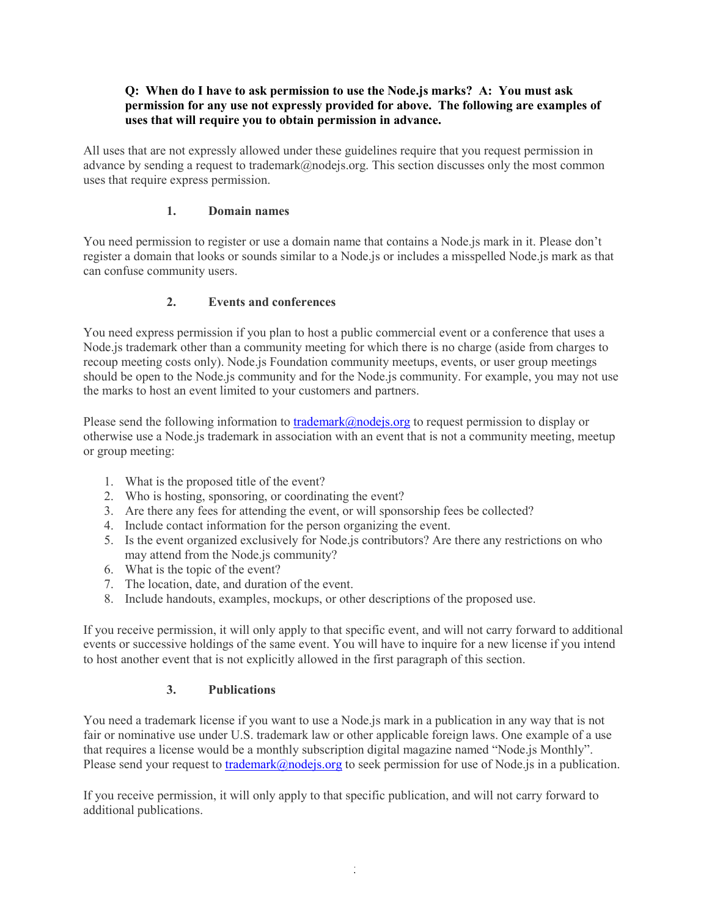### **Q: When do I have to ask permission to use the Node.js marks? A: You must ask permission for any use not expressly provided for above. The following are examples of uses that will require you to obtain permission in advance.**

All uses that are not expressly allowed under these guidelines require that you request permission in advance by sending a request to trademark@nodejs.org. This section discusses only the most common uses that require express permission.

## **1. Domain names**

You need permission to register or use a domain name that contains a Node.js mark in it. Please don't register a domain that looks or sounds similar to a Node.js or includes a misspelled Node.js mark as that can confuse community users.

# **2. Events and conferences**

You need express permission if you plan to host a public commercial event or a conference that uses a Node.js trademark other than a community meeting for which there is no charge (aside from charges to recoup meeting costs only). Node.js Foundation community meetups, events, or user group meetings should be open to the Node.js community and for the Node.js community. For example, you may not use the marks to host an event limited to your customers and partners.

Please send the following information to  $\frac{\text{trademark}(a) \text{node} \cdot \text{log} \cdot \text{log} \cdot \text{log} \cdot \text{log} \cdot \text{log} \cdot \text{log} \cdot \text{log} \cdot \text{log} \cdot \text{log} \cdot \text{log} \cdot \text{log} \cdot \text{log} \cdot \text{log} \cdot \text{log} \cdot \text{log} \cdot \text{log} \cdot \text{log} \cdot \text{log} \cdot \text{log} \cdot \text{log} \cdot \text{log} \cdot \text{log} \cdot \text{log} \cdot$ otherwise use a Node.js trademark in association with an event that is not a community meeting, meetup or group meeting:

- 1. What is the proposed title of the event?
- 2. Who is hosting, sponsoring, or coordinating the event?
- 3. Are there any fees for attending the event, or will sponsorship fees be collected?
- 4. Include contact information for the person organizing the event.
- 5. Is the event organized exclusively for Node.js contributors? Are there any restrictions on who may attend from the Node.js community?
- 6. What is the topic of the event?
- 7. The location, date, and duration of the event.
- 8. Include handouts, examples, mockups, or other descriptions of the proposed use.

If you receive permission, it will only apply to that specific event, and will not carry forward to additional events or successive holdings of the same event. You will have to inquire for a new license if you intend to host another event that is not explicitly allowed in the first paragraph of this section.

### **3. Publications**

You need a trademark license if you want to use a Node.js mark in a publication in any way that is not fair or nominative use under U.S. trademark law or other applicable foreign laws. One example of a use that requires a license would be a monthly subscription digital magazine named "Node.js Monthly". Please send your request to [trademark@nodejs.org](mailto:trademark@Joyent.com) to seek permission for use of Node.js in a publication.

If you receive permission, it will only apply to that specific publication, and will not carry forward to additional publications.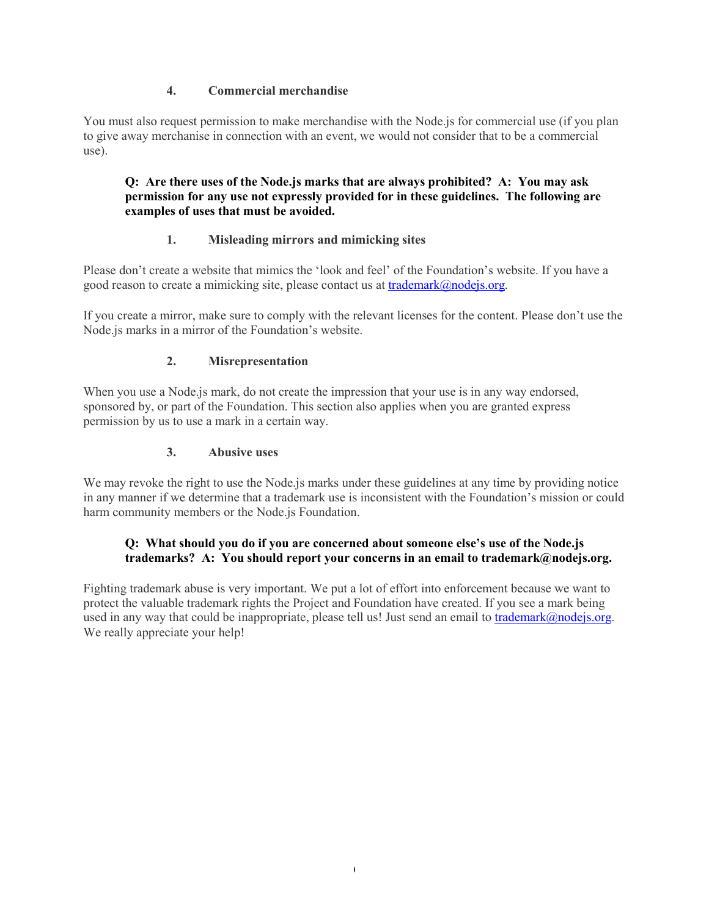# **4. Commercial merchandise**

You must also request permission to make merchandise with the Node.js for commercial use (if you plan to give away merchanise in connection with an event, we would not consider that to be a commercial use).

## **Q: Are there uses of the Node.js marks that are always prohibited? A: You may ask permission for any use not expressly provided for in these guidelines. The following are examples of uses that must be avoided.**

# **1. Misleading mirrors and mimicking sites**

Please don't create a website that mimics the 'look and feel' of the Foundation's website. If you have a good reason to create a mimicking site, please contact us at [trademark@nodejs.org.](mailto:trademark@nodejs.org)

If you create a mirror, make sure to comply with the relevant licenses for the content. Please don't use the Node.js marks in a mirror of the Foundation's website.

### **2. Misrepresentation**

When you use a Node.js mark, do not create the impression that your use is in any way endorsed, sponsored by, or part of the Foundation. This section also applies when you are granted express permission by us to use a mark in a certain way.

### **3. Abusive uses**

We may revoke the right to use the Node.js marks under these guidelines at any time by providing notice in any manner if we determine that a trademark use is inconsistent with the Foundation's mission or could harm community members or the Node.js Foundation.

# **Q: What should you do if you are concerned about someone else's use of the Node.js trademarks? A: You should report your concerns in an email to trademark@nodejs.org.**

Fighting trademark abuse is very important. We put a lot of effort into enforcement because we want to protect the valuable trademark rights the Project and Foundation have created. If you see a mark being used in any way that could be inappropriate, please tell us! Just send an email to [trademark@nodejs.org.](mailto:trademark@nodejs.org) We really appreciate your help!